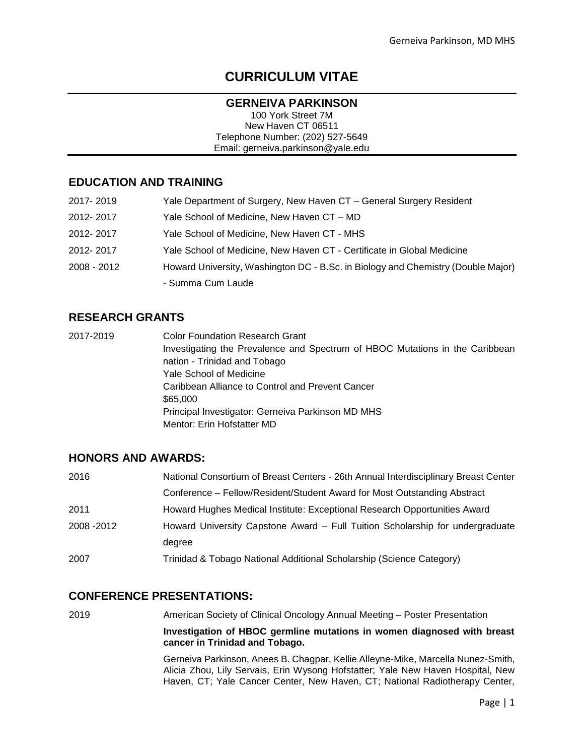# **CURRICULUM VITAE**

#### **GERNEIVA PARKINSON**

100 York Street 7M New Haven CT 06511 Telephone Number: (202) 527-5649 Email: gerneiva.parkinson@yale.edu

### **EDUCATION AND TRAINING**

| 2017-2019   | Yale Department of Surgery, New Haven CT - General Surgery Resident              |
|-------------|----------------------------------------------------------------------------------|
| 2012-2017   | Yale School of Medicine, New Haven CT - MD                                       |
| 2012-2017   | Yale School of Medicine, New Haven CT - MHS                                      |
| 2012-2017   | Yale School of Medicine, New Haven CT - Certificate in Global Medicine           |
| 2008 - 2012 | Howard University, Washington DC - B.Sc. in Biology and Chemistry (Double Major) |
|             | - Summa Cum Laude                                                                |

### **RESEARCH GRANTS**

2017-2019 Color Foundation Research Grant Investigating the Prevalence and Spectrum of HBOC Mutations in the Caribbean nation - Trinidad and Tobago Yale School of Medicine Caribbean Alliance to Control and Prevent Cancer \$65,000 Principal Investigator: Gerneiva Parkinson MD MHS Mentor: Erin Hofstatter MD

### **HONORS AND AWARDS:**

| 2016        | National Consortium of Breast Centers - 26th Annual Interdisciplinary Breast Center |
|-------------|-------------------------------------------------------------------------------------|
|             | Conference - Fellow/Resident/Student Award for Most Outstanding Abstract            |
| 2011        | Howard Hughes Medical Institute: Exceptional Research Opportunities Award           |
| 2008 - 2012 | Howard University Capstone Award - Full Tuition Scholarship for undergraduate       |
|             | degree                                                                              |
| 2007        | Trinidad & Tobago National Additional Scholarship (Science Category)                |

### **CONFERENCE PRESENTATIONS:**

2019 American Society of Clinical Oncology Annual Meeting – Poster Presentation

**Investigation of HBOC germline mutations in women diagnosed with breast cancer in Trinidad and Tobago.**

Gerneiva Parkinson, Anees B. Chagpar, Kellie Alleyne-Mike, Marcella Nunez-Smith, Alicia Zhou, Lily Servais, Erin Wysong Hofstatter; Yale New Haven Hospital, New Haven, CT; Yale Cancer Center, New Haven, CT; National Radiotherapy Center,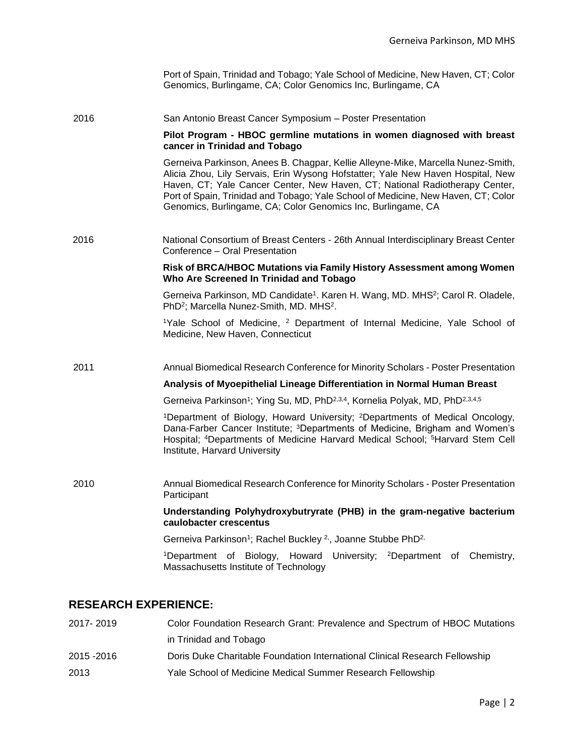| Port of Spain, Trinidad and Tobago; Yale School of Medicine, New Haven, CT; Color |
|-----------------------------------------------------------------------------------|
| Genomics, Burlingame, CA; Color Genomics Inc, Burlingame, CA                      |

2016 San Antonio Breast Cancer Symposium – Poster Presentation

#### **Pilot Program - HBOC germline mutations in women diagnosed with breast cancer in Trinidad and Tobago**

Gerneiva Parkinson, Anees B. Chagpar, Kellie Alleyne-Mike, Marcella Nunez-Smith, Alicia Zhou, Lily Servais, Erin Wysong Hofstatter; Yale New Haven Hospital, New Haven, CT; Yale Cancer Center, New Haven, CT; National Radiotherapy Center, Port of Spain, Trinidad and Tobago; Yale School of Medicine, New Haven, CT; Color Genomics, Burlingame, CA; Color Genomics Inc, Burlingame, CA

2016 National Consortium of Breast Centers - 26th Annual Interdisciplinary Breast Center Conference – Oral Presentation

#### **Risk of BRCA/HBOC Mutations via Family History Assessment among Women Who Are Screened In Trinidad and Tobago**

Gerneiva Parkinson, MD Candidate<sup>1</sup>. Karen H. Wang, MD. MHS<sup>2</sup>; Carol R. Oladele, PhD<sup>2</sup>; Marcella Nunez-Smith, MD. MHS<sup>2</sup>.

<sup>1</sup>Yale School of Medicine, <sup>2</sup> Department of Internal Medicine, Yale School of Medicine, New Haven, Connecticut

2011 Annual Biomedical Research Conference for Minority Scholars - Poster Presentation

#### **Analysis of Myoepithelial Lineage Differentiation in Normal Human Breast**

Gerneiva Parkinson<sup>1</sup>; Ying Su, MD, PhD<sup>2,3,4</sup>, Kornelia Polyak, MD, PhD<sup>2,3,4,5</sup>

<sup>1</sup>Department of Biology, Howard University; <sup>2</sup>Departments of Medical Oncology, Dana-Farber Cancer Institute; <sup>3</sup>Departments of Medicine, Brigham and Women's Hospital; <sup>4</sup>Departments of Medicine Harvard Medical School; <sup>5</sup>Harvard Stem Cell Institute, Harvard University

2010 Annual Biomedical Research Conference for Minority Scholars - Poster Presentation **Participant** 

> **Understanding Polyhydroxybutryrate (PHB) in the gram-negative bacterium caulobacter crescentus**

Gerneiva Parkinson<sup>1</sup>; Rachel Buckley <sup>2,</sup>, Joanne Stubbe PhD<sup>2,</sup>

<sup>1</sup>Department of Biology, Howard University; <sup>2</sup>Department of Chemistry, Massachusetts Institute of Technology

#### **RESEARCH EXPERIENCE:**

| 2017-2019   | Color Foundation Research Grant: Prevalence and Spectrum of HBOC Mutations  |
|-------------|-----------------------------------------------------------------------------|
|             | in Trinidad and Tobago                                                      |
| 2015 - 2016 | Doris Duke Charitable Foundation International Clinical Research Fellowship |
| 2013        | Yale School of Medicine Medical Summer Research Fellowship                  |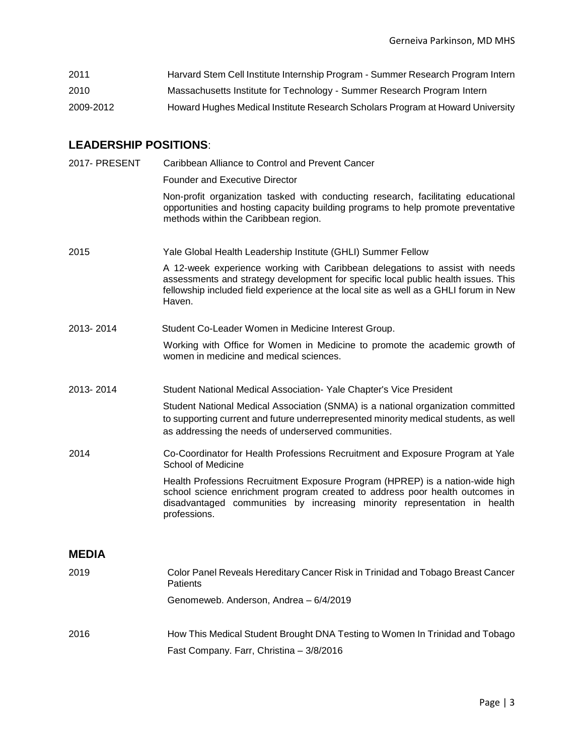| 2011      | Harvard Stem Cell Institute Internship Program - Summer Research Program Intern |
|-----------|---------------------------------------------------------------------------------|
| 2010      | Massachusetts Institute for Technology - Summer Research Program Intern         |
| 2009-2012 | Howard Hughes Medical Institute Research Scholars Program at Howard University  |

## **LEADERSHIP POSITIONS**:

| 2017- PRESENT | Caribbean Alliance to Control and Prevent Cancer                                                                                                                                                                                                                      |
|---------------|-----------------------------------------------------------------------------------------------------------------------------------------------------------------------------------------------------------------------------------------------------------------------|
|               | <b>Founder and Executive Director</b>                                                                                                                                                                                                                                 |
|               | Non-profit organization tasked with conducting research, facilitating educational<br>opportunities and hosting capacity building programs to help promote preventative<br>methods within the Caribbean region.                                                        |
| 2015          | Yale Global Health Leadership Institute (GHLI) Summer Fellow                                                                                                                                                                                                          |
|               | A 12-week experience working with Caribbean delegations to assist with needs<br>assessments and strategy development for specific local public health issues. This<br>fellowship included field experience at the local site as well as a GHLI forum in New<br>Haven. |
| 2013-2014     | Student Co-Leader Women in Medicine Interest Group.                                                                                                                                                                                                                   |
|               | Working with Office for Women in Medicine to promote the academic growth of<br>women in medicine and medical sciences.                                                                                                                                                |
| 2013-2014     | Student National Medical Association - Yale Chapter's Vice President                                                                                                                                                                                                  |
|               | Student National Medical Association (SNMA) is a national organization committed<br>to supporting current and future underrepresented minority medical students, as well<br>as addressing the needs of underserved communities.                                       |
| 2014          | Co-Coordinator for Health Professions Recruitment and Exposure Program at Yale<br>School of Medicine                                                                                                                                                                  |
|               | Health Professions Recruitment Exposure Program (HPREP) is a nation-wide high<br>school science enrichment program created to address poor health outcomes in<br>disadvantaged communities by increasing minority representation in health<br>professions.            |
| <b>MEDIA</b>  |                                                                                                                                                                                                                                                                       |
| 2019          | Color Panel Reveals Hereditary Cancer Risk in Trinidad and Tobago Breast Cancer<br>Patients                                                                                                                                                                           |
|               | Genomeweb. Anderson, Andrea - 6/4/2019                                                                                                                                                                                                                                |
| 2016          | How This Medical Student Brought DNA Testing to Women In Trinidad and Tobago                                                                                                                                                                                          |
|               | Fast Company. Farr, Christina - 3/8/2016                                                                                                                                                                                                                              |